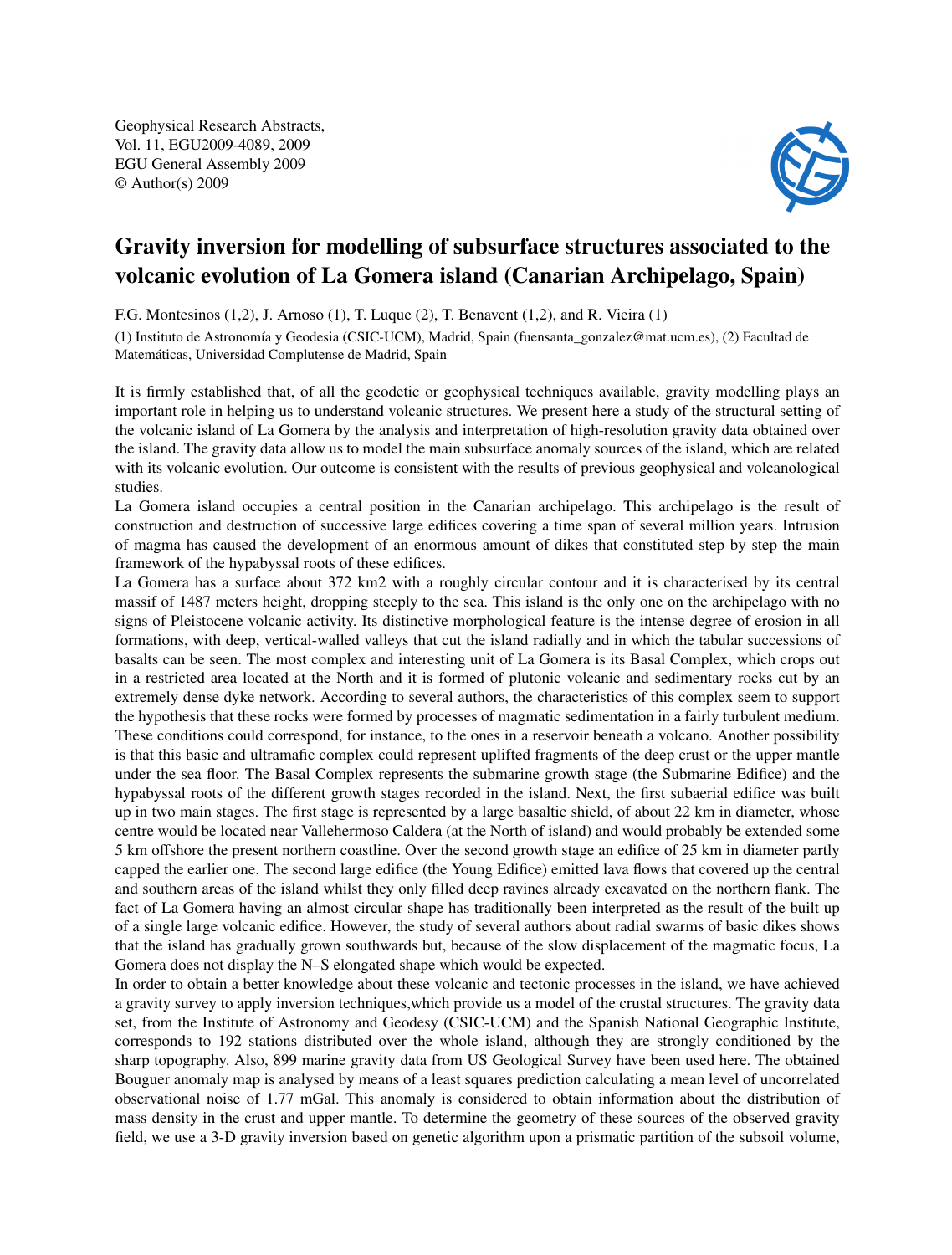Geophysical Research Abstracts, Vol. 11, EGU2009-4089, 2009 EGU General Assembly 2009 © Author(s) 2009



## Gravity inversion for modelling of subsurface structures associated to the volcanic evolution of La Gomera island (Canarian Archipelago, Spain)

F.G. Montesinos (1,2), J. Arnoso (1), T. Luque (2), T. Benavent (1,2), and R. Vieira (1)

(1) Instituto de Astronomía y Geodesia (CSIC-UCM), Madrid, Spain (fuensanta\_gonzalez@mat.ucm.es), (2) Facultad de Matemáticas, Universidad Complutense de Madrid, Spain

It is firmly established that, of all the geodetic or geophysical techniques available, gravity modelling plays an important role in helping us to understand volcanic structures. We present here a study of the structural setting of the volcanic island of La Gomera by the analysis and interpretation of high-resolution gravity data obtained over the island. The gravity data allow us to model the main subsurface anomaly sources of the island, which are related with its volcanic evolution. Our outcome is consistent with the results of previous geophysical and volcanological studies.

La Gomera island occupies a central position in the Canarian archipelago. This archipelago is the result of construction and destruction of successive large edifices covering a time span of several million years. Intrusion of magma has caused the development of an enormous amount of dikes that constituted step by step the main framework of the hypabyssal roots of these edifices.

La Gomera has a surface about 372 km2 with a roughly circular contour and it is characterised by its central massif of 1487 meters height, dropping steeply to the sea. This island is the only one on the archipelago with no signs of Pleistocene volcanic activity. Its distinctive morphological feature is the intense degree of erosion in all formations, with deep, vertical-walled valleys that cut the island radially and in which the tabular successions of basalts can be seen. The most complex and interesting unit of La Gomera is its Basal Complex, which crops out in a restricted area located at the North and it is formed of plutonic volcanic and sedimentary rocks cut by an extremely dense dyke network. According to several authors, the characteristics of this complex seem to support the hypothesis that these rocks were formed by processes of magmatic sedimentation in a fairly turbulent medium. These conditions could correspond, for instance, to the ones in a reservoir beneath a volcano. Another possibility is that this basic and ultramafic complex could represent uplifted fragments of the deep crust or the upper mantle under the sea floor. The Basal Complex represents the submarine growth stage (the Submarine Edifice) and the hypabyssal roots of the different growth stages recorded in the island. Next, the first subaerial edifice was built up in two main stages. The first stage is represented by a large basaltic shield, of about 22 km in diameter, whose centre would be located near Vallehermoso Caldera (at the North of island) and would probably be extended some 5 km offshore the present northern coastline. Over the second growth stage an edifice of 25 km in diameter partly capped the earlier one. The second large edifice (the Young Edifice) emitted lava flows that covered up the central and southern areas of the island whilst they only filled deep ravines already excavated on the northern flank. The fact of La Gomera having an almost circular shape has traditionally been interpreted as the result of the built up of a single large volcanic edifice. However, the study of several authors about radial swarms of basic dikes shows that the island has gradually grown southwards but, because of the slow displacement of the magmatic focus, La Gomera does not display the N–S elongated shape which would be expected.

In order to obtain a better knowledge about these volcanic and tectonic processes in the island, we have achieved a gravity survey to apply inversion techniques,which provide us a model of the crustal structures. The gravity data set, from the Institute of Astronomy and Geodesy (CSIC-UCM) and the Spanish National Geographic Institute, corresponds to 192 stations distributed over the whole island, although they are strongly conditioned by the sharp topography. Also, 899 marine gravity data from US Geological Survey have been used here. The obtained Bouguer anomaly map is analysed by means of a least squares prediction calculating a mean level of uncorrelated observational noise of 1.77 mGal. This anomaly is considered to obtain information about the distribution of mass density in the crust and upper mantle. To determine the geometry of these sources of the observed gravity field, we use a 3-D gravity inversion based on genetic algorithm upon a prismatic partition of the subsoil volume,